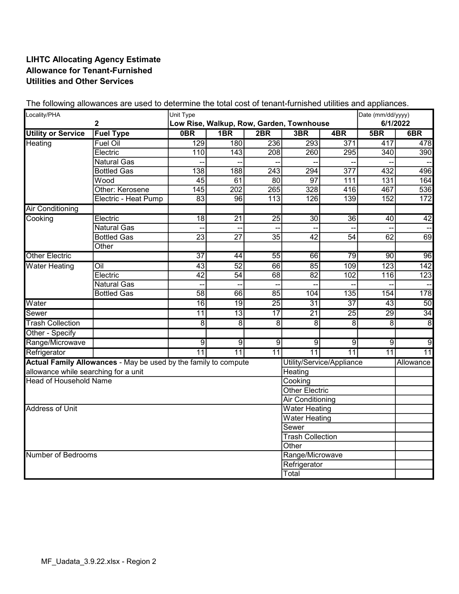## LIHTC Allocating Agency Estimate Allowance for Tenant-Furnished Utilities and Other Services

| Locality/PHA<br>$\overline{\mathbf{2}}$ |                                                                 | Unit Type                |                 |                  |                           |                  | Date (mm/dd/yyyy) |                  |
|-----------------------------------------|-----------------------------------------------------------------|--------------------------|-----------------|------------------|---------------------------|------------------|-------------------|------------------|
|                                         | Low Rise, Walkup, Row, Garden, Townhouse                        |                          |                 |                  |                           | 6/1/2022         |                   |                  |
| <b>Utility or Service</b>               | <b>Fuel Type</b>                                                | 0BR                      | 1B <sub>R</sub> | 2BR              | 3BR                       | 4BR              | 5B                | 6B               |
| Heating                                 | <b>Fuel Oil</b>                                                 | 129                      | 180             | 236              | 293                       | 371              | 417               | 478              |
|                                         | Electric                                                        | 110                      | 143             | 208              | 260                       | 295              | 340               | 390              |
|                                         | <b>Natural Gas</b>                                              |                          |                 |                  |                           |                  |                   |                  |
|                                         | <b>Bottled Gas</b>                                              | 138                      | 188             | 243              | 294                       | $\overline{377}$ | 432               | 496              |
|                                         | Wood                                                            | 45                       | 61              | 80               | 97                        | 111              | 131               | 164              |
|                                         | Other: Kerosene                                                 | 145                      | 202             | 265              | 328                       | 416              | 467               | 536              |
|                                         | Electric - Heat Pump                                            | 83                       | 96              | $\overline{113}$ | 126                       | 139              | 152               | $\overline{172}$ |
| <b>Air Conditioning</b>                 |                                                                 |                          |                 |                  |                           |                  |                   |                  |
| Cooking                                 | Electric                                                        | $\overline{18}$          | $\overline{21}$ | $\overline{25}$  | $\overline{30}$           | $\overline{36}$  | 40                | 42               |
|                                         | Natural Gas                                                     | $\overline{\phantom{a}}$ |                 |                  |                           |                  |                   |                  |
|                                         | <b>Bottled Gas</b>                                              | $\overline{23}$          | $\overline{27}$ | $\overline{35}$  | $\overline{42}$           | $\overline{54}$  | 62                | $\overline{69}$  |
|                                         | Other                                                           |                          |                 |                  |                           |                  |                   |                  |
| <b>Other Electric</b>                   |                                                                 | $\overline{37}$          | 44              | $\overline{55}$  | 66                        | 79               | 90                | 96               |
| <b>Water Heating</b>                    | $\overline{O}$ il                                               | $\overline{43}$          | 52              | 66               | 85                        | 109              | 123               | 142              |
|                                         | Electric                                                        | $\overline{42}$          | 54              | 68               | 82                        | 102              | 116               | $\overline{123}$ |
|                                         | <b>Natural Gas</b>                                              | --                       |                 |                  |                           |                  |                   |                  |
|                                         | <b>Bottled Gas</b>                                              | $\overline{58}$          | 66              | 85               | 104                       | 135              | 154               | 178              |
| Water                                   |                                                                 | 16                       | 19              | $\overline{25}$  | $\overline{31}$           | $\overline{37}$  | 43                | 50               |
| Sewer                                   |                                                                 | 11                       | 13              | 17               | $\overline{21}$           | $\overline{25}$  | $\overline{29}$   | 34               |
| <b>Trash Collection</b>                 |                                                                 | $\overline{8}$           | $\overline{8}$  | $\overline{8}$   | $\overline{8}$            | $\overline{8}$   | $\overline{8}$    | $\overline{8}$   |
| Other - Specify                         |                                                                 |                          |                 |                  |                           |                  |                   |                  |
| Range/Microwave                         |                                                                 | $\overline{9}$           | $\overline{9}$  | $\overline{9}$   | $\overline{9}$            | $\overline{9}$   | $\overline{9}$    | $\overline{9}$   |
| Refrigerator                            |                                                                 | $\overline{11}$          | $\overline{11}$ | 11               | $\overline{11}$           | $\overline{11}$  | $\overline{11}$   | $\overline{11}$  |
|                                         | Actual Family Allowances - May be used by the family to compute |                          |                 |                  | Utility/Service/Appliance |                  |                   | Allowance        |
| allowance while searching for a unit    |                                                                 |                          |                 |                  | Heating                   |                  |                   |                  |
| <b>Head of Household Name</b>           |                                                                 |                          |                 |                  | Cooking                   |                  |                   |                  |
|                                         |                                                                 |                          |                 |                  | <b>Other Electric</b>     |                  |                   |                  |
|                                         |                                                                 |                          |                 |                  | <b>Air Conditioning</b>   |                  |                   |                  |
| <b>Address of Unit</b>                  |                                                                 |                          |                 |                  | Water Heating             |                  |                   |                  |
|                                         |                                                                 |                          |                 |                  | Water Heating             |                  |                   |                  |
|                                         |                                                                 |                          |                 |                  | Sewer                     |                  |                   |                  |
|                                         |                                                                 |                          |                 |                  | <b>Trash Collection</b>   |                  |                   |                  |
| Other                                   |                                                                 |                          |                 |                  |                           |                  |                   |                  |
| Number of Bedrooms                      |                                                                 |                          |                 | Range/Microwave  |                           |                  |                   |                  |
|                                         |                                                                 |                          |                 |                  | Refrigerator              |                  |                   |                  |
|                                         |                                                                 |                          |                 |                  | Total                     |                  |                   |                  |

The following allowances are used to determine the total cost of tenant-furnished utilities and appliances.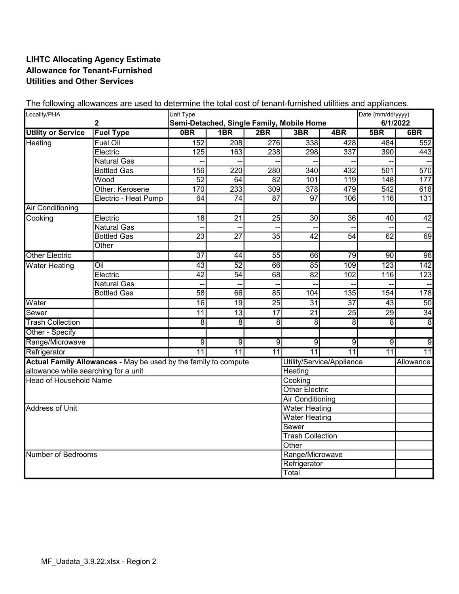## LIHTC Allocating Agency Estimate Allowance for Tenant-Furnished Utilities and Other Services

| Locality/PHA<br>$\mathbf 2$          |                                                                 | Unit Type<br>Semi-Detached, Single Family, Mobile Home |                 |                 |                           |                  | Date (mm/dd/yyyy)<br>6/1/2022 |                  |
|--------------------------------------|-----------------------------------------------------------------|--------------------------------------------------------|-----------------|-----------------|---------------------------|------------------|-------------------------------|------------------|
| <b>Utility or Service</b>            | <b>Fuel Type</b>                                                | 0B                                                     | 1B <sub>R</sub> | 2BR             | 3BR                       | 4BR              | 5B                            | 6B               |
| Heating                              | <b>Fuel Oil</b>                                                 | 152                                                    | 208             | 276             | 338                       | 428              | 484                           | 552              |
|                                      | Electric                                                        | 125                                                    | 163             | 238             | 298                       | $\overline{337}$ | 390                           | 443              |
|                                      | <b>Natural Gas</b>                                              |                                                        |                 |                 |                           |                  |                               |                  |
|                                      | <b>Bottled Gas</b>                                              | 156                                                    | 220             | 280             | 340                       | 432              | 501                           | 570              |
|                                      | Wood                                                            | $\overline{52}$                                        | 64              | $\overline{82}$ | 101                       | 119              | 148                           | 177              |
|                                      | Other: Kerosene                                                 | 170                                                    | 233             | 309             | 378                       | 479              | 542                           | 618              |
|                                      | Electric - Heat Pump                                            | 64                                                     | $\overline{74}$ | $\overline{87}$ | $\overline{97}$           | 106              | 116                           | 131              |
| <b>Air Conditioning</b>              |                                                                 |                                                        |                 |                 |                           |                  |                               |                  |
| Cooking                              | Electric                                                        | $\overline{18}$                                        | $\overline{21}$ | $\overline{25}$ | $\overline{30}$           | $\overline{36}$  | 40                            | 42               |
|                                      | <b>Natural Gas</b>                                              |                                                        |                 |                 |                           |                  |                               |                  |
|                                      | <b>Bottled Gas</b>                                              | $\overline{23}$                                        | $\overline{27}$ | $\overline{35}$ | $\overline{42}$           | $\overline{54}$  | 62                            | 69               |
|                                      | Other                                                           |                                                        |                 |                 |                           |                  |                               |                  |
| <b>Other Electric</b>                |                                                                 | $\overline{37}$                                        | 44              | $\overline{55}$ | 66                        | 79               | $\overline{90}$               | 96               |
| <b>Water Heating</b>                 | $\overline{O}$ il                                               | 43                                                     | 52              | 66              | 85                        | 109              | 123                           | 142              |
|                                      | Electric                                                        | $\overline{42}$                                        | 54              | $\overline{68}$ | $\overline{82}$           | 102              | 116                           | $\overline{123}$ |
|                                      | <b>Natural Gas</b>                                              | --                                                     |                 |                 |                           |                  |                               |                  |
|                                      | <b>Bottled Gas</b>                                              | $\overline{58}$                                        | 66              | 85              | 104                       | 135              | 154                           | 178              |
| Water                                |                                                                 | 16                                                     | 19              | 25              | 31                        | 37               | 43                            | 50               |
| Sewer                                |                                                                 | 11                                                     | 13              | $\overline{17}$ | $\overline{21}$           | $\overline{25}$  | 29                            | 34               |
| <b>Trash Collection</b>              |                                                                 | $\overline{8}$                                         | $\overline{8}$  | $\overline{8}$  | $\overline{8}$            | 8                | $\overline{8}$                | $\overline{8}$   |
| Other - Specify                      |                                                                 |                                                        |                 |                 |                           |                  |                               |                  |
| Range/Microwave                      |                                                                 | $\overline{9}$                                         | $\overline{9}$  | $\overline{9}$  | $\overline{9}$            | $\overline{9}$   | $\overline{9}$                | $\overline{9}$   |
| Refrigerator                         |                                                                 | $\overline{11}$                                        | 11              | 11              | $\overline{11}$           | $\overline{11}$  | $\overline{11}$               | $\overline{11}$  |
|                                      | Actual Family Allowances - May be used by the family to compute |                                                        |                 |                 | Utility/Service/Appliance |                  |                               | Allowance        |
| allowance while searching for a unit |                                                                 |                                                        |                 |                 | Heating                   |                  |                               |                  |
| <b>Head of Household Name</b>        |                                                                 |                                                        |                 |                 | Cooking                   |                  |                               |                  |
|                                      |                                                                 |                                                        |                 |                 | <b>Other Electric</b>     |                  |                               |                  |
|                                      |                                                                 |                                                        |                 |                 | <b>Air Conditioning</b>   |                  |                               |                  |
| Address of Unit                      |                                                                 |                                                        |                 |                 | <b>Water Heating</b>      |                  |                               |                  |
|                                      |                                                                 |                                                        |                 |                 | <b>Water Heating</b>      |                  |                               |                  |
|                                      |                                                                 |                                                        |                 |                 | Sewer                     |                  |                               |                  |
|                                      |                                                                 |                                                        |                 |                 | <b>Trash Collection</b>   |                  |                               |                  |
| Other                                |                                                                 |                                                        |                 |                 |                           |                  |                               |                  |
| Number of Bedrooms                   |                                                                 |                                                        |                 | Range/Microwave |                           |                  |                               |                  |
|                                      |                                                                 |                                                        |                 |                 | Refrigerator              |                  |                               |                  |
|                                      |                                                                 |                                                        |                 |                 | Total                     |                  |                               |                  |

The following allowances are used to determine the total cost of tenant-furnished utilities and appliances.